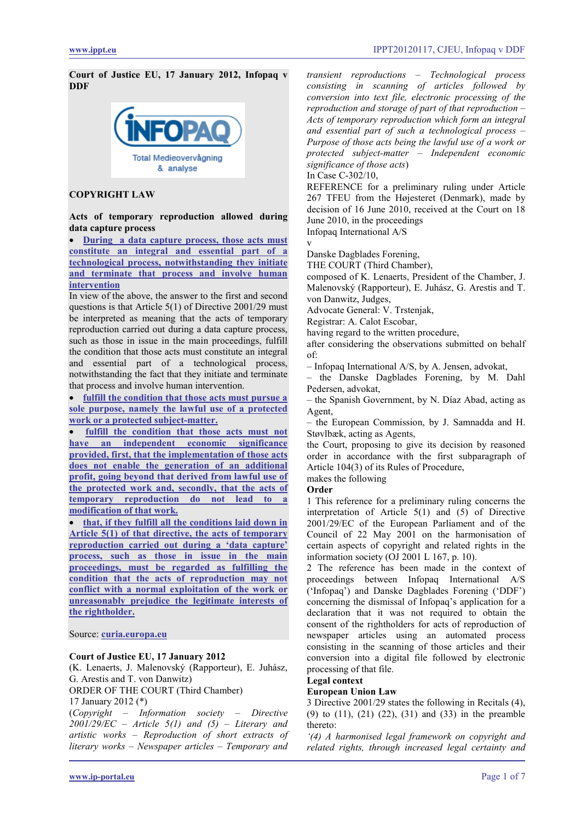**Court of Justice EU, 17 January 2012, Infopaq v DDF**



# **COPYRIGHT LAW**

### **Acts of temporary reproduction allowed during data capture process**

**During a data capture process, those acts must [constitute an integral and essential part of a](#page-4-0)  [technological process, notwithstanding they initiate](#page-4-0)  [and terminate that process and involve human](#page-4-0)  [intervention](#page-4-0)**

In view of the above, the answer to the first and second questions is that Article 5(1) of Directive 2001/29 must be interpreted as meaning that the acts of temporary reproduction carried out during a data capture process, such as those in issue in the main proceedings, fulfill the condition that those acts must constitute an integral and essential part of a technological process, notwithstanding the fact that they initiate and terminate that process and involve human intervention.

• **fulfill [the condition that those acts must pursue a](#page-5-0)  [sole purpose, namely the lawful use of a protected](#page-5-0)  [work or a protected subject-matter.](#page-5-0)**

fulfill the condition that those acts must not **[have an independent economic significance](#page-5-1)  [provided, first, that the implementation of those acts](#page-5-1)  [does not enable the generation of an additional](#page-5-1)  [profit, going beyond that derived from lawful use of](#page-5-1)  [the protected work and, secondly, that the acts of](#page-5-1)  [temporary reproduction do not lead to a](#page-5-1)  [modification of that work.](#page-5-1)**

• **that, if they fulfill [all the conditions laid down in](#page-5-2)  [Article 5\(1\) of that directive, the acts of temporary](#page-5-2)  [reproduction carried out during a 'data capture'](#page-5-2)  [process, such as those in issue in the main](#page-5-2)  [proceedings, must be regarded as fulfilling the](#page-5-2)  [condition that the acts of reproduction may not](#page-5-2)  [conflict with a normal exploitation of the work or](#page-5-2)  [unreasonably prejudice the legitimate interests of](#page-5-2)  [the rightholder.](#page-5-2)**

### Source: **[curia.europa.eu](http://curia.europa.eu/juris/document/document.jsf?text=&docid=118441&pageIndex=0&doclang=EN&mode=lst&dir=&occ=first&part=1&cid=642221)**

# **Court of Justice EU, 17 January 2012**

(K. Lenaerts, J. Malenovský (Rapporteur), E. Juhász, G. Arestis and T. von Danwitz)

ORDER OF THE COURT (Third Chamber) 17 January 2012 (\*)

(*Copyright – Information society – Directive 2001/29/EC – Article 5(1) and (5) – Literary and artistic works – Reproduction of short extracts of literary works – Newspaper articles – Temporary and* 

*transient reproductions – Technological process consisting in scanning of articles followed by conversion into text file, electronic processing of the reproduction and storage of part of that reproduction – Acts of temporary reproduction which form an integral and essential part of such a technological process – Purpose of those acts being the lawful use of a work or protected subject-matter – Independent economic significance of those acts*)

In Case C-302/10,

REFERENCE for a preliminary ruling under Article 267 TFEU from the Højesteret (Denmark), made by decision of 16 June 2010, received at the Court on 18 June 2010, in the proceedings

Infopaq International A/S

v

Danske Dagblades Forening,

THE COURT (Third Chamber),

composed of K. Lenaerts, President of the Chamber, J. Malenovský (Rapporteur), E. Juhász, G. Arestis and T. von Danwitz, Judges,

Advocate General: V. Trstenjak,

Registrar: A. Calot Escobar,

having regard to the written procedure,

after considering the observations submitted on behalf of:

– Infopaq International A/S, by A. Jensen, advokat,

– the Danske Dagblades Forening, by M. Dahl Pedersen, advokat,

– the Spanish Government, by N. Díaz Abad, acting as Agent,

– the European Commission, by J. Samnadda and H. Støvlbæk, acting as Agents,

the Court, proposing to give its decision by reasoned order in accordance with the first subparagraph of Article 104(3) of its Rules of Procedure,

makes the following

**Order**

1 This reference for a preliminary ruling concerns the interpretation of Article 5(1) and (5) of Directive 2001/29/EC of the European Parliament and of the Council of 22 May 2001 on the harmonisation of certain aspects of copyright and related rights in the information society (OJ 2001 L 167, p. 10).

2 The reference has been made in the context of proceedings between Infopaq International A/S ('Infopaq') and Danske Dagblades Forening ('DDF') concerning the dismissal of Infopaq's application for a declaration that it was not required to obtain the consent of the rightholders for acts of reproduction of newspaper articles using an automated process consisting in the scanning of those articles and their conversion into a digital file followed by electronic processing of that file.

### **Legal context**

#### **European Union Law**

3 Directive 2001/29 states the following in Recitals (4), (9) to (11), (21) (22), (31) and (33) in the preamble thereto:

*'(4) A harmonised legal framework on copyright and related rights, through increased legal certainty and*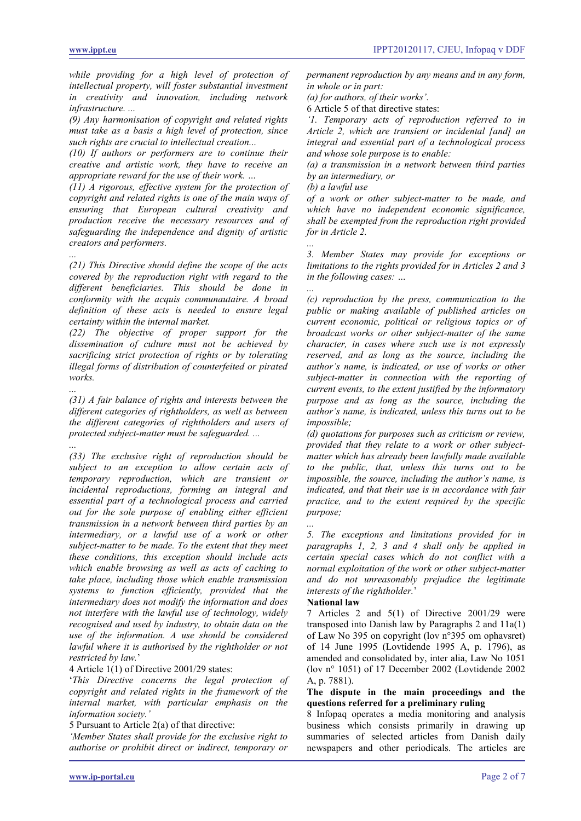*...*

*while providing for a high level of protection of intellectual property, will foster substantial investment in creativity and innovation, including network infrastructure. ...*

*(9) Any harmonisation of copyright and related rights must take as a basis a high level of protection, since such rights are crucial to intellectual creation...*

*(10) If authors or performers are to continue their creative and artistic work, they have to receive an appropriate reward for the use of their work. …*

*(11) A rigorous, effective system for the protection of copyright and related rights is one of the main ways of ensuring that European cultural creativity and production receive the necessary resources and of safeguarding the independence and dignity of artistic creators and performers.*

*(21) This Directive should define the scope of the acts covered by the reproduction right with regard to the different beneficiaries. This should be done in conformity with the acquis communautaire. A broad definition of these acts is needed to ensure legal certainty within the internal market.*

*(22) The objective of proper support for the dissemination of culture must not be achieved by sacrificing strict protection of rights or by tolerating illegal forms of distribution of counterfeited or pirated works.*

*... (31) A fair balance of rights and interests between the different categories of rightholders, as well as between the different categories of rightholders and users of protected subject-matter must be safeguarded. ...*

*... (33) The exclusive right of reproduction should be subject to an exception to allow certain acts of temporary reproduction, which are transient or incidental reproductions, forming an integral and essential part of a technological process and carried out for the sole purpose of enabling either efficient transmission in a network between third parties by an intermediary, or a lawful use of a work or other subject-matter to be made. To the extent that they meet these conditions, this exception should include acts which enable browsing as well as acts of caching to take place, including those which enable transmission systems to function efficiently, provided that the intermediary does not modify the information and does not interfere with the lawful use of technology, widely recognised and used by industry, to obtain data on the use of the information. A use should be considered lawful where it is authorised by the rightholder or not restricted by law.*'

4 Article 1(1) of Directive 2001/29 states:

'*This Directive concerns the legal protection of copyright and related rights in the framework of the internal market, with particular emphasis on the information society.'*

5 Pursuant to Article 2(a) of that directive:

*'Member States shall provide for the exclusive right to authorise or prohibit direct or indirect, temporary or*  *permanent reproduction by any means and in any form, in whole or in part:*

*(a) for authors, of their works'.*

6 Article 5 of that directive states:

*'1. Temporary acts of reproduction referred to in Article 2, which are transient or incidental [and] an integral and essential part of a technological process and whose sole purpose is to enable:*

*(a) a transmission in a network between third parties by an intermediary, or*

*(b) a lawful use*

*of a work or other subject-matter to be made, and which have no independent economic significance, shall be exempted from the reproduction right provided for in Article 2.*

*... 3. Member States may provide for exceptions or limitations to the rights provided for in Articles 2 and 3 in the following cases: …*

*... (c) reproduction by the press, communication to the public or making available of published articles on current economic, political or religious topics or of broadcast works or other subject-matter of the same character, in cases where such use is not expressly reserved, and as long as the source, including the author's name, is indicated, or use of works or other subject-matter in connection with the reporting of current events, to the extent justified by the informatory purpose and as long as the source, including the author's name, is indicated, unless this turns out to be impossible;*

*(d) quotations for purposes such as criticism or review, provided that they relate to a work or other subjectmatter which has already been lawfully made available to the public, that, unless this turns out to be impossible, the source, including the author's name, is indicated, and that their use is in accordance with fair practice, and to the extent required by the specific purpose;*

*... 5. The exceptions and limitations provided for in paragraphs 1, 2, 3 and 4 shall only be applied in certain special cases which do not conflict with a normal exploitation of the work or other subject-matter and do not unreasonably prejudice the legitimate interests of the rightholder.*'

### **National law**

7 Articles 2 and 5(1) of Directive 2001/29 were transposed into Danish law by Paragraphs 2 and 11a(1) of Law No 395 on copyright (lov n°395 om ophavsret) of 14 June 1995 (Lovtidende 1995 A, p. 1796), as amended and consolidated by, inter alia, Law No 1051 (lov n° 1051) of 17 December 2002 (Lovtidende 2002 A, p. 7881).

# **The dispute in the main proceedings and the questions referred for a preliminary ruling**

8 Infopaq operates a media monitoring and analysis business which consists primarily in drawing up summaries of selected articles from Danish daily newspapers and other periodicals. The articles are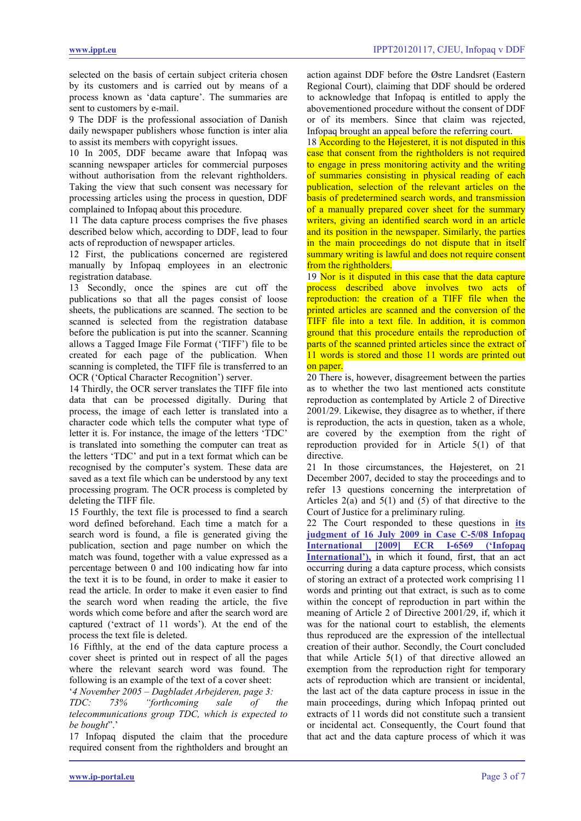selected on the basis of certain subject criteria chosen by its customers and is carried out by means of a process known as 'data capture'. The summaries are sent to customers by e-mail.

9 The DDF is the professional association of Danish daily newspaper publishers whose function is inter alia to assist its members with copyright issues.

10 In 2005, DDF became aware that Infopaq was scanning newspaper articles for commercial purposes without authorisation from the relevant rightholders. Taking the view that such consent was necessary for processing articles using the process in question, DDF complained to Infopaq about this procedure.

11 The data capture process comprises the five phases described below which, according to DDF, lead to four acts of reproduction of newspaper articles.

12 First, the publications concerned are registered manually by Infopaq employees in an electronic registration database.

13 Secondly, once the spines are cut off the publications so that all the pages consist of loose sheets, the publications are scanned. The section to be scanned is selected from the registration database before the publication is put into the scanner. Scanning allows a Tagged Image File Format ('TIFF') file to be created for each page of the publication. When scanning is completed, the TIFF file is transferred to an OCR ('Optical Character Recognition') server.

14 Thirdly, the OCR server translates the TIFF file into data that can be processed digitally. During that process, the image of each letter is translated into a character code which tells the computer what type of letter it is. For instance, the image of the letters 'TDC' is translated into something the computer can treat as the letters 'TDC' and put in a text format which can be recognised by the computer's system. These data are saved as a text file which can be understood by any text processing program. The OCR process is completed by deleting the TIFF file.

15 Fourthly, the text file is processed to find a search word defined beforehand. Each time a match for a search word is found, a file is generated giving the publication, section and page number on which the match was found, together with a value expressed as a percentage between 0 and 100 indicating how far into the text it is to be found, in order to make it easier to read the article. In order to make it even easier to find the search word when reading the article, the five words which come before and after the search word are captured ('extract of 11 words'). At the end of the process the text file is deleted.

16 Fifthly, at the end of the data capture process a cover sheet is printed out in respect of all the pages where the relevant search word was found. The following is an example of the text of a cover sheet:

'*4 November 2005 – Dagbladet Arbejderen, page 3:*

*TDC: 73% "forthcoming sale of the telecommunications group TDC, which is expected to be bought*".'

17 Infopaq disputed the claim that the procedure required consent from the rightholders and brought an action against DDF before the Østre Landsret (Eastern Regional Court), claiming that DDF should be ordered to acknowledge that Infopaq is entitled to apply the abovementioned procedure without the consent of DDF or of its members. Since that claim was rejected, Infopaq brought an appeal before the referring court.

18 According to the Højesteret, it is not disputed in this case that consent from the rightholders is not required to engage in press monitoring activity and the writing of summaries consisting in physical reading of each publication, selection of the relevant articles on the basis of predetermined search words, and transmission of a manually prepared cover sheet for the summary writers, giving an identified search word in an article and its position in the newspaper. Similarly, the parties in the main proceedings do not dispute that in itself summary writing is lawful and does not require consent from the rightholders.

19 Nor is it disputed in this case that the data capture process described above involves two acts of reproduction: the creation of a TIFF file when the printed articles are scanned and the conversion of the TIFF file into a text file. In addition, it is common ground that this procedure entails the reproduction of parts of the scanned printed articles since the extract of 11 words is stored and those 11 words are printed out on paper.

20 There is, however, disagreement between the parties as to whether the two last mentioned acts constitute reproduction as contemplated by Article 2 of Directive 2001/29. Likewise, they disagree as to whether, if there is reproduction, the acts in question, taken as a whole, are covered by the exemption from the right of reproduction provided for in Article 5(1) of that directive.

21 In those circumstances, the Højesteret, on 21 December 2007, decided to stay the proceedings and to refer 13 questions concerning the interpretation of Articles  $2(a)$  and  $5(1)$  and  $(5)$  of that directive to the Court of Justice for a preliminary ruling.

22 The Court responded to these questions in **[its](http://www.ippt.eu/files/2009/IPPT20090716_ECJ_Infopaq_v_DDF.pdf)  [judgment of 16 July 2009 in Case C-5/08](http://www.ippt.eu/files/2009/IPPT20090716_ECJ_Infopaq_v_DDF.pdf) Infopaq [International \[2009\] ECR I-6569 \('Infopaq](http://www.ippt.eu/files/2009/IPPT20090716_ECJ_Infopaq_v_DDF.pdf)  [International'\),](http://www.ippt.eu/files/2009/IPPT20090716_ECJ_Infopaq_v_DDF.pdf)** in which it found, first, that an act occurring during a data capture process, which consists of storing an extract of a protected work comprising 11 words and printing out that extract, is such as to come within the concept of reproduction in part within the meaning of Article 2 of Directive 2001/29, if, which it was for the national court to establish, the elements thus reproduced are the expression of the intellectual creation of their author. Secondly, the Court concluded that while Article 5(1) of that directive allowed an exemption from the reproduction right for temporary acts of reproduction which are transient or incidental, the last act of the data capture process in issue in the main proceedings, during which Infopaq printed out extracts of 11 words did not constitute such a transient or incidental act. Consequently, the Court found that that act and the data capture process of which it was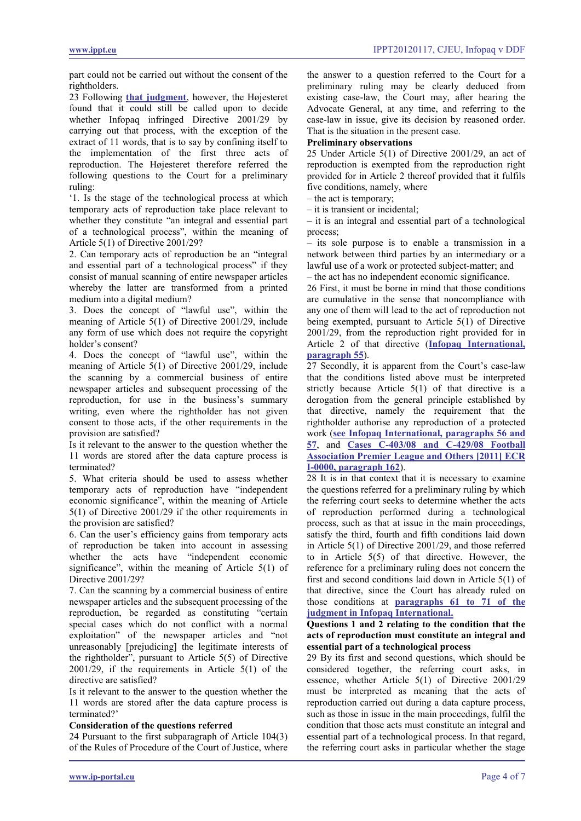part could not be carried out without the consent of the rightholders.

23 Following **[that judgment](http://www.ippt.eu/files/2009/IPPT20090716_ECJ_Infopaq_v_DDF.pdf)**, however, the Højesteret found that it could still be called upon to decide whether Infopaq infringed Directive 2001/29 by carrying out that process, with the exception of the extract of 11 words, that is to say by confining itself to the implementation of the first three acts of reproduction. The Højesteret therefore referred the following questions to the Court for a preliminary ruling:

'1. Is the stage of the technological process at which temporary acts of reproduction take place relevant to whether they constitute "an integral and essential part of a technological process", within the meaning of Article 5(1) of Directive 2001/29?

2. Can temporary acts of reproduction be an "integral and essential part of a technological process" if they consist of manual scanning of entire newspaper articles whereby the latter are transformed from a printed medium into a digital medium?

3. Does the concept of "lawful use", within the meaning of Article 5(1) of Directive 2001/29, include any form of use which does not require the copyright holder's consent?

4. Does the concept of "lawful use", within the meaning of Article 5(1) of Directive 2001/29, include the scanning by a commercial business of entire newspaper articles and subsequent processing of the reproduction, for use in the business's summary writing, even where the rightholder has not given consent to those acts, if the other requirements in the provision are satisfied?

Is it relevant to the answer to the question whether the 11 words are stored after the data capture process is terminated?

5. What criteria should be used to assess whether temporary acts of reproduction have "independent economic significance", within the meaning of Article 5(1) of Directive 2001/29 if the other requirements in the provision are satisfied?

6. Can the user's efficiency gains from temporary acts of reproduction be taken into account in assessing whether the acts have "independent economic significance", within the meaning of Article 5(1) of Directive 2001/29?

7. Can the scanning by a commercial business of entire newspaper articles and the subsequent processing of the reproduction, be regarded as constituting "certain special cases which do not conflict with a normal exploitation" of the newspaper articles and "not unreasonably [prejudicing] the legitimate interests of the rightholder", pursuant to Article 5(5) of Directive 2001/29, if the requirements in Article 5(1) of the directive are satisfied?

Is it relevant to the answer to the question whether the 11 words are stored after the data capture process is terminated?'

### **Consideration of the questions referred**

24 Pursuant to the first subparagraph of Article 104(3) of the Rules of Procedure of the Court of Justice, where the answer to a question referred to the Court for a preliminary ruling may be clearly deduced from existing case-law, the Court may, after hearing the Advocate General, at any time, and referring to the case-law in issue, give its decision by reasoned order. That is the situation in the present case.

#### **Preliminary observations**

25 Under Article 5(1) of Directive 2001/29, an act of reproduction is exempted from the reproduction right provided for in Article 2 thereof provided that it fulfils five conditions, namely, where

- the act is temporary;
- it is transient or incidental;

– it is an integral and essential part of a technological process;

– its sole purpose is to enable a transmission in a network between third parties by an intermediary or a lawful use of a work or protected subject-matter; and

– the act has no independent economic significance.

26 First, it must be borne in mind that those conditions are cumulative in the sense that noncompliance with any one of them will lead to the act of reproduction not being exempted, pursuant to Article 5(1) of Directive 2001/29, from the reproduction right provided for in Article 2 of that directive (**[Infopaq International,](http://www.ippt.eu/files/2009/IPPT20090716_ECJ_Infopaq_v_DDF.pdf)  [paragraph 55](http://www.ippt.eu/files/2009/IPPT20090716_ECJ_Infopaq_v_DDF.pdf)**).

27 Secondly, it is apparent from the Court's case-law that the conditions listed above must be interpreted strictly because Article 5(1) of that directive is a derogation from the general principle established by that directive, namely the requirement that the rightholder authorise any reproduction of a protected work (**[see Infopaq International, paragraphs 56 and](http://www.ippt.eu/files/2009/IPPT20090716_ECJ_Infopaq_v_DDF.pdf)  [57](http://www.ippt.eu/files/2009/IPPT20090716_ECJ_Infopaq_v_DDF.pdf)**, and **[Cases C-403/08 and C-429/08 Football](http://www.ippt.eu/files/2011/IPPT20111004_ECJ_Premier_League.pdf)  [Association Premier League and Others \[2011\]](http://www.ippt.eu/files/2011/IPPT20111004_ECJ_Premier_League.pdf) ECR [I-0000, paragraph 162](http://www.ippt.eu/files/2011/IPPT20111004_ECJ_Premier_League.pdf)**).

28 It is in that context that it is necessary to examine the questions referred for a preliminary ruling by which the referring court seeks to determine whether the acts of reproduction performed during a technological process, such as that at issue in the main proceedings, satisfy the third, fourth and fifth conditions laid down in Article 5(1) of Directive 2001/29, and those referred to in Article 5(5) of that directive. However, the reference for a preliminary ruling does not concern the first and second conditions laid down in Article 5(1) of that directive, since the Court has already ruled on those conditions at **[paragraphs 61 to 71 of the](http://www.ippt.eu/files/2009/IPPT20090716_ECJ_Infopaq_v_DDF.pdf) [judgment in Infopaq International.](http://www.ippt.eu/files/2009/IPPT20090716_ECJ_Infopaq_v_DDF.pdf)**

**Questions 1 and 2 relating to the condition that the acts of reproduction must constitute an integral and essential part of a technological process**

29 By its first and second questions, which should be considered together, the referring court asks, in essence, whether Article 5(1) of Directive 2001/29 must be interpreted as meaning that the acts of reproduction carried out during a data capture process, such as those in issue in the main proceedings, fulfil the condition that those acts must constitute an integral and essential part of a technological process. In that regard, the referring court asks in particular whether the stage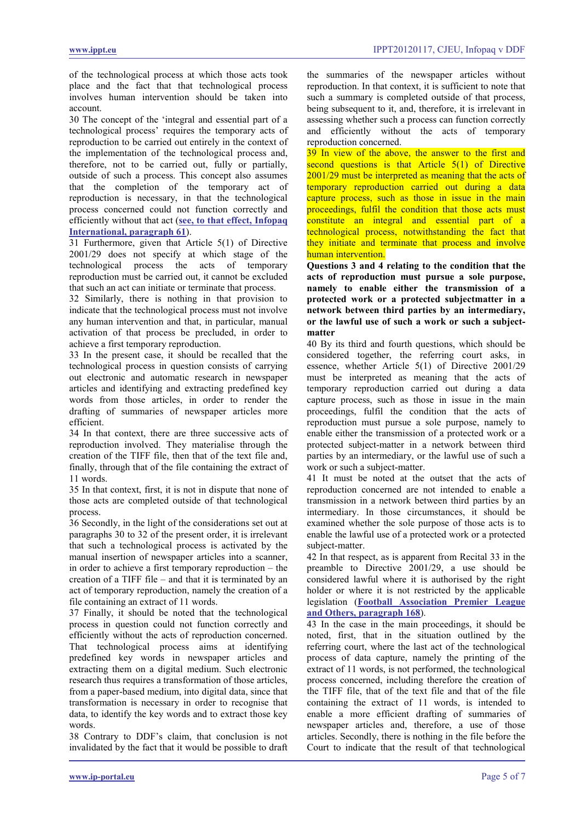of the technological process at which those acts took place and the fact that that technological process involves human intervention should be taken into account.

30 The concept of the 'integral and essential part of a technological process' requires the temporary acts of reproduction to be carried out entirely in the context of the implementation of the technological process and, therefore, not to be carried out, fully or partially, outside of such a process. This concept also assumes that the completion of the temporary act of reproduction is necessary, in that the technological process concerned could not function correctly and efficiently without that act (**[see, to that effect, Infopaq](http://www.ippt.eu/files/2009/IPPT20090716_ECJ_Infopaq_v_DDF.pdf)  [International,](http://www.ippt.eu/files/2009/IPPT20090716_ECJ_Infopaq_v_DDF.pdf) paragraph 61**).

31 Furthermore, given that Article 5(1) of Directive 2001/29 does not specify at which stage of the technological process the acts of temporary reproduction must be carried out, it cannot be excluded that such an act can initiate or terminate that process.

32 Similarly, there is nothing in that provision to indicate that the technological process must not involve any human intervention and that, in particular, manual activation of that process be precluded, in order to achieve a first temporary reproduction.

33 In the present case, it should be recalled that the technological process in question consists of carrying out electronic and automatic research in newspaper articles and identifying and extracting predefined key words from those articles, in order to render the drafting of summaries of newspaper articles more efficient.

34 In that context, there are three successive acts of reproduction involved. They materialise through the creation of the TIFF file, then that of the text file and, finally, through that of the file containing the extract of 11 words.

35 In that context, first, it is not in dispute that none of those acts are completed outside of that technological process.

36 Secondly, in the light of the considerations set out at paragraphs 30 to 32 of the present order, it is irrelevant that such a technological process is activated by the manual insertion of newspaper articles into a scanner, in order to achieve a first temporary reproduction – the creation of a TIFF file – and that it is terminated by an act of temporary reproduction, namely the creation of a file containing an extract of 11 words.

37 Finally, it should be noted that the technological process in question could not function correctly and efficiently without the acts of reproduction concerned. That technological process aims at identifying predefined key words in newspaper articles and extracting them on a digital medium. Such electronic research thus requires a transformation of those articles, from a paper-based medium, into digital data, since that transformation is necessary in order to recognise that data, to identify the key words and to extract those key words.

38 Contrary to DDF's claim, that conclusion is not invalidated by the fact that it would be possible to draft the summaries of the newspaper articles without reproduction. In that context, it is sufficient to note that such a summary is completed outside of that process, being subsequent to it, and, therefore, it is irrelevant in assessing whether such a process can function correctly and efficiently without the acts of temporary reproduction concerned.

<span id="page-4-0"></span>39 In view of the above, the answer to the first and second questions is that Article 5(1) of Directive 2001/29 must be interpreted as meaning that the acts of temporary reproduction carried out during a data capture process, such as those in issue in the main proceedings, fulfil the condition that those acts must constitute an integral and essential part of a technological process, notwithstanding the fact that they initiate and terminate that process and involve human intervention.

**Questions 3 and 4 relating to the condition that the acts of reproduction must pursue a sole purpose, namely to enable either the transmission of a protected work or a protected subjectmatter in a network between third parties by an intermediary, or the lawful use of such a work or such a subjectmatter**

40 By its third and fourth questions, which should be considered together, the referring court asks, in essence, whether Article 5(1) of Directive 2001/29 must be interpreted as meaning that the acts of temporary reproduction carried out during a data capture process, such as those in issue in the main proceedings, fulfil the condition that the acts of reproduction must pursue a sole purpose, namely to enable either the transmission of a protected work or a protected subject-matter in a network between third parties by an intermediary, or the lawful use of such a work or such a subject-matter.

41 It must be noted at the outset that the acts of reproduction concerned are not intended to enable a transmission in a network between third parties by an intermediary. In those circumstances, it should be examined whether the sole purpose of those acts is to enable the lawful use of a protected work or a protected subject-matter.

42 In that respect, as is apparent from Recital 33 in the preamble to Directive 2001/29, a use should be considered lawful where it is authorised by the right holder or where it is not restricted by the applicable legislation (**[Football Association Premier League](http://www.ippt.eu/files/2011/IPPT20111004_ECJ_Premier_League.pdf)  and Others, [paragraph 168](http://www.ippt.eu/files/2011/IPPT20111004_ECJ_Premier_League.pdf)**).

43 In the case in the main proceedings, it should be noted, first, that in the situation outlined by the referring court, where the last act of the technological process of data capture, namely the printing of the extract of 11 words, is not performed, the technological process concerned, including therefore the creation of the TIFF file, that of the text file and that of the file containing the extract of 11 words, is intended to enable a more efficient drafting of summaries of newspaper articles and, therefore, a use of those articles. Secondly, there is nothing in the file before the Court to indicate that the result of that technological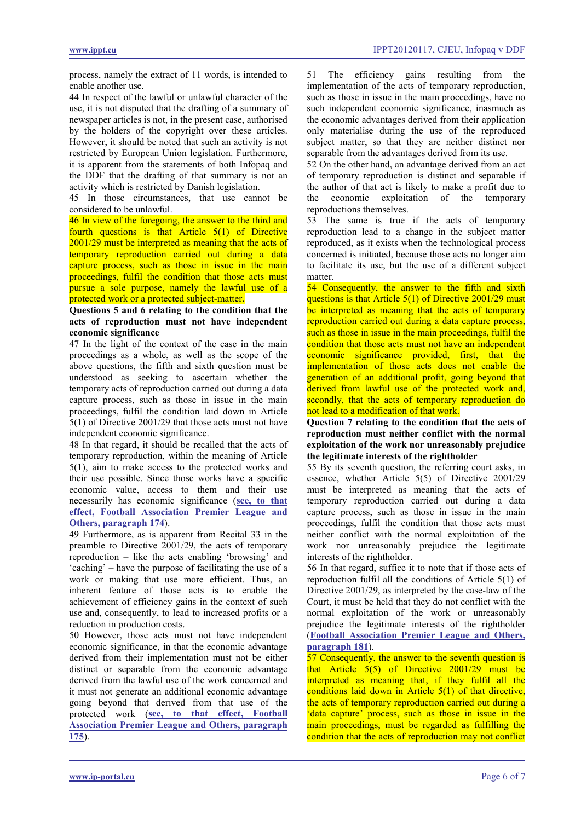process, namely the extract of 11 words, is intended to enable another use.

44 In respect of the lawful or unlawful character of the use, it is not disputed that the drafting of a summary of newspaper articles is not, in the present case, authorised by the holders of the copyright over these articles. However, it should be noted that such an activity is not restricted by European Union legislation. Furthermore, it is apparent from the statements of both Infopaq and the DDF that the drafting of that summary is not an activity which is restricted by Danish legislation.

45 In those circumstances, that use cannot be considered to be unlawful.

<span id="page-5-0"></span>46 In view of the foregoing, the answer to the third and fourth questions is that Article 5(1) of Directive 2001/29 must be interpreted as meaning that the acts of temporary reproduction carried out during a data capture process, such as those in issue in the main proceedings, fulfil the condition that those acts must pursue a sole purpose, namely the lawful use of a protected work or a protected subject-matter.

# **Questions 5 and 6 relating to the condition that the acts of reproduction must not have independent economic significance**

47 In the light of the context of the case in the main proceedings as a whole, as well as the scope of the above questions, the fifth and sixth question must be understood as seeking to ascertain whether the temporary acts of reproduction carried out during a data capture process, such as those in issue in the main proceedings, fulfil the condition laid down in Article 5(1) of Directive 2001/29 that those acts must not have independent economic significance.

48 In that regard, it should be recalled that the acts of temporary reproduction, within the meaning of Article 5(1), aim to make access to the protected works and their use possible. Since those works have a specific economic value, access to them and their use necessarily has economic significance (**[see, to that](http://www.ippt.eu/files/2011/IPPT20111004_ECJ_Premier_League.pdf)  [effect, Football Association Premier League and](http://www.ippt.eu/files/2011/IPPT20111004_ECJ_Premier_League.pdf) [Others, paragraph 174](http://www.ippt.eu/files/2011/IPPT20111004_ECJ_Premier_League.pdf)**).

49 Furthermore, as is apparent from Recital 33 in the preamble to Directive 2001/29, the acts of temporary reproduction – like the acts enabling 'browsing' and 'caching' – have the purpose of facilitating the use of a work or making that use more efficient. Thus, an inherent feature of those acts is to enable the achievement of efficiency gains in the context of such use and, consequently, to lead to increased profits or a reduction in production costs.

50 However, those acts must not have independent economic significance, in that the economic advantage derived from their implementation must not be either distinct or separable from the economic advantage derived from the lawful use of the work concerned and it must not generate an additional economic advantage going beyond that derived from that use of the protected work (**[see, to that effect, Football](http://www.ippt.eu/files/2011/IPPT20111004_ECJ_Premier_League.pdf)  [Association Premier League and Others,](http://www.ippt.eu/files/2011/IPPT20111004_ECJ_Premier_League.pdf) paragraph [175](http://www.ippt.eu/files/2011/IPPT20111004_ECJ_Premier_League.pdf)**).

51 The efficiency gains resulting from the implementation of the acts of temporary reproduction, such as those in issue in the main proceedings, have no such independent economic significance, inasmuch as the economic advantages derived from their application only materialise during the use of the reproduced subject matter, so that they are neither distinct nor separable from the advantages derived from its use.

52 On the other hand, an advantage derived from an act of temporary reproduction is distinct and separable if the author of that act is likely to make a profit due to<br>the economic exploitation of the temporary economic exploitation of the temporary reproductions themselves.

53 The same is true if the acts of temporary reproduction lead to a change in the subject matter reproduced, as it exists when the technological process concerned is initiated, because those acts no longer aim to facilitate its use, but the use of a different subject matter.

<span id="page-5-1"></span>54 Consequently, the answer to the fifth and sixth questions is that Article 5(1) of Directive 2001/29 must be interpreted as meaning that the acts of temporary reproduction carried out during a data capture process, such as those in issue in the main proceedings, fulfil the condition that those acts must not have an independent economic significance provided, first, that the implementation of those acts does not enable the generation of an additional profit, going beyond that derived from lawful use of the protected work and, secondly, that the acts of temporary reproduction do not lead to a modification of that work.

**Question 7 relating to the condition that the acts of reproduction must neither conflict with the normal exploitation of the work nor unreasonably prejudice the legitimate interests of the rightholder**

55 By its seventh question, the referring court asks, in essence, whether Article 5(5) of Directive 2001/29 must be interpreted as meaning that the acts of temporary reproduction carried out during a data capture process, such as those in issue in the main proceedings, fulfil the condition that those acts must neither conflict with the normal exploitation of the work nor unreasonably prejudice the legitimate interests of the rightholder.

56 In that regard, suffice it to note that if those acts of reproduction fulfil all the conditions of Article 5(1) of Directive 2001/29, as interpreted by the case-law of the Court, it must be held that they do not conflict with the normal exploitation of the work or unreasonably prejudice the legitimate interests of the rightholder (**[Football Association Premier League and Others,](http://www.ippt.eu/files/2011/IPPT20111004_ECJ_Premier_League.pdf) [paragraph 181](http://www.ippt.eu/files/2011/IPPT20111004_ECJ_Premier_League.pdf)**).

<span id="page-5-2"></span>57 Consequently, the answer to the seventh question is that Article  $5(5)$  of Directive 2001/29 must be interpreted as meaning that, if they fulfil all the conditions laid down in Article 5(1) of that directive, the acts of temporary reproduction carried out during a 'data capture' process, such as those in issue in the main proceedings, must be regarded as fulfilling the condition that the acts of reproduction may not conflict